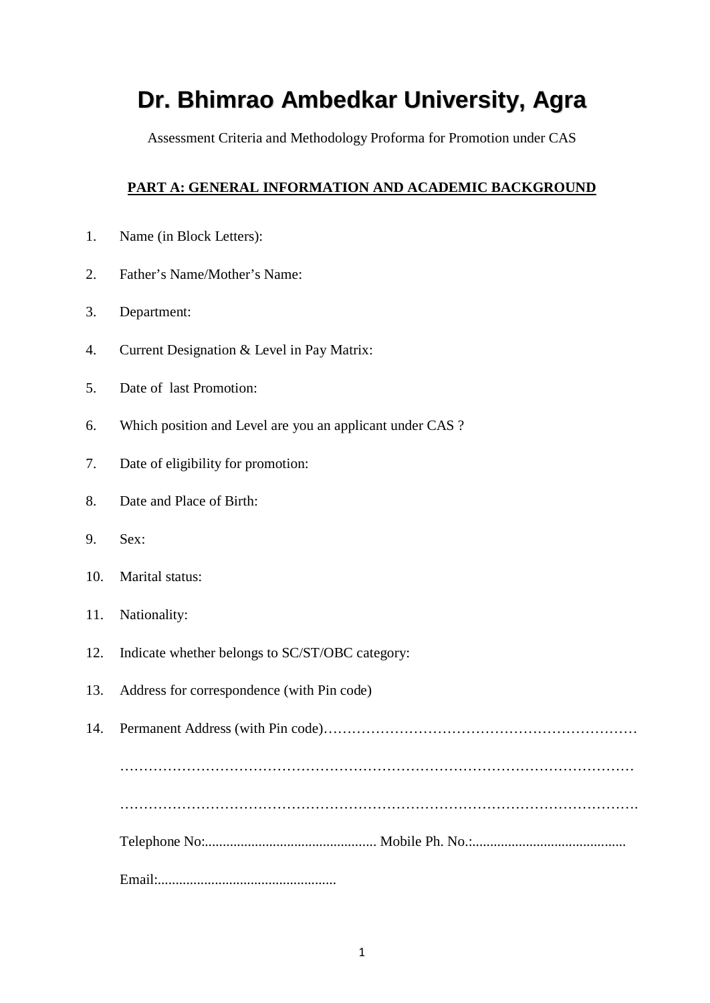# **Dr. Bhimrao Ambedkar University, Agra**

Assessment Criteria and Methodology Proforma for Promotion under CAS

## **PART A: GENERAL INFORMATION AND ACADEMIC BACKGROUND**

- 1. Name (in Block Letters):
- 2. Father's Name/Mother's Name:
- 3. Department:
- 4. Current Designation & Level in Pay Matrix:
- 5. Date of last Promotion:
- 6. Which position and Level are you an applicant under CAS ?
- 7. Date of eligibility for promotion:
- 8. Date and Place of Birth:
- 9. Sex:
- 10. Marital status:
- 11. Nationality:
- 12. Indicate whether belongs to SC/ST/OBC category:
- 13. Address for correspondence (with Pin code)

14. Permanent Address (with Pin code)………………………………………………………… ……………………………………………………………………………………………… ………………………………………………………………………………………………. Telephone No:................................................ Mobile Ph. No.:........................................... Email:..................................................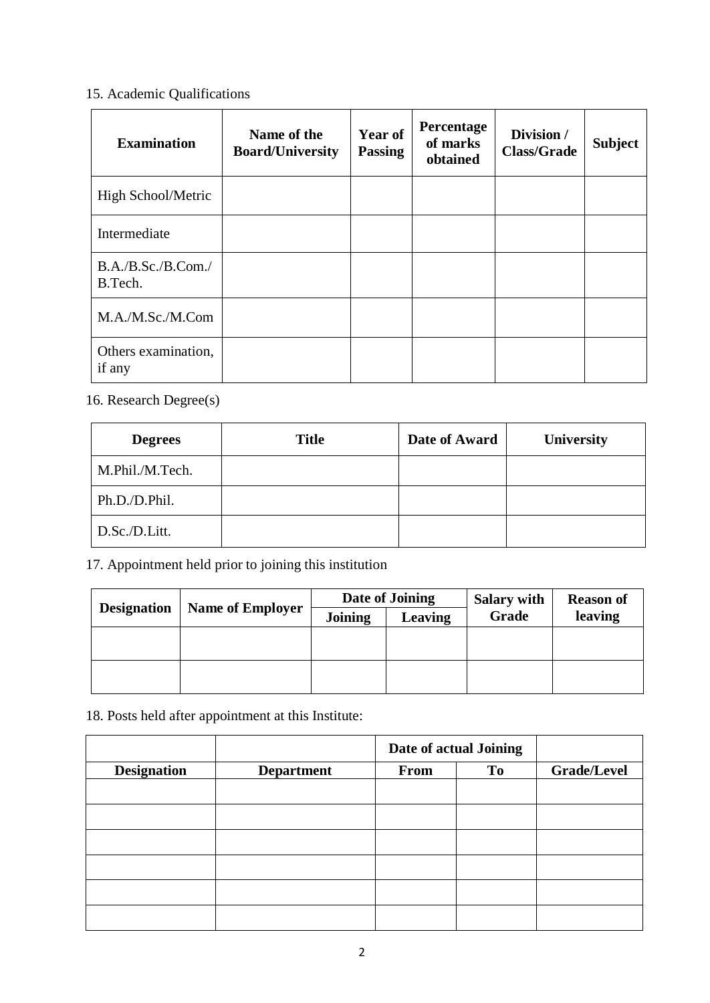# 15. Academic Qualifications

| <b>Examination</b>            | Name of the<br><b>Board/University</b> | <b>Year of</b><br><b>Passing</b> | Percentage<br>of marks<br>obtained | Division /<br><b>Class/Grade</b> | <b>Subject</b> |
|-------------------------------|----------------------------------------|----------------------------------|------------------------------------|----------------------------------|----------------|
| High School/Metric            |                                        |                                  |                                    |                                  |                |
| Intermediate                  |                                        |                                  |                                    |                                  |                |
| B.A./B.Sc./B.Com./<br>B.Tech. |                                        |                                  |                                    |                                  |                |
| M.A./M.Sc./M.Com              |                                        |                                  |                                    |                                  |                |
| Others examination,<br>if any |                                        |                                  |                                    |                                  |                |

16. Research Degree(s)

| <b>Degrees</b>  | <b>Title</b> | Date of Award | University |
|-----------------|--------------|---------------|------------|
| M.Phil./M.Tech. |              |               |            |
| Ph.D./D.Phil.   |              |               |            |
| D.Sc./D.Litt.   |              |               |            |

17. Appointment held prior to joining this institution

|                    |                         |         | Date of Joining | <b>Salary with</b> | <b>Reason of</b> |  |
|--------------------|-------------------------|---------|-----------------|--------------------|------------------|--|
| <b>Designation</b> | <b>Name of Employer</b> | Joining | Leaving         | Grade              | leaving          |  |
|                    |                         |         |                 |                    |                  |  |
|                    |                         |         |                 |                    |                  |  |
|                    |                         |         |                 |                    |                  |  |
|                    |                         |         |                 |                    |                  |  |

18. Posts held after appointment at this Institute:

|                    |                   | Date of actual Joining |                |                    |
|--------------------|-------------------|------------------------|----------------|--------------------|
| <b>Designation</b> | <b>Department</b> | From                   | T <sub>o</sub> | <b>Grade/Level</b> |
|                    |                   |                        |                |                    |
|                    |                   |                        |                |                    |
|                    |                   |                        |                |                    |
|                    |                   |                        |                |                    |
|                    |                   |                        |                |                    |
|                    |                   |                        |                |                    |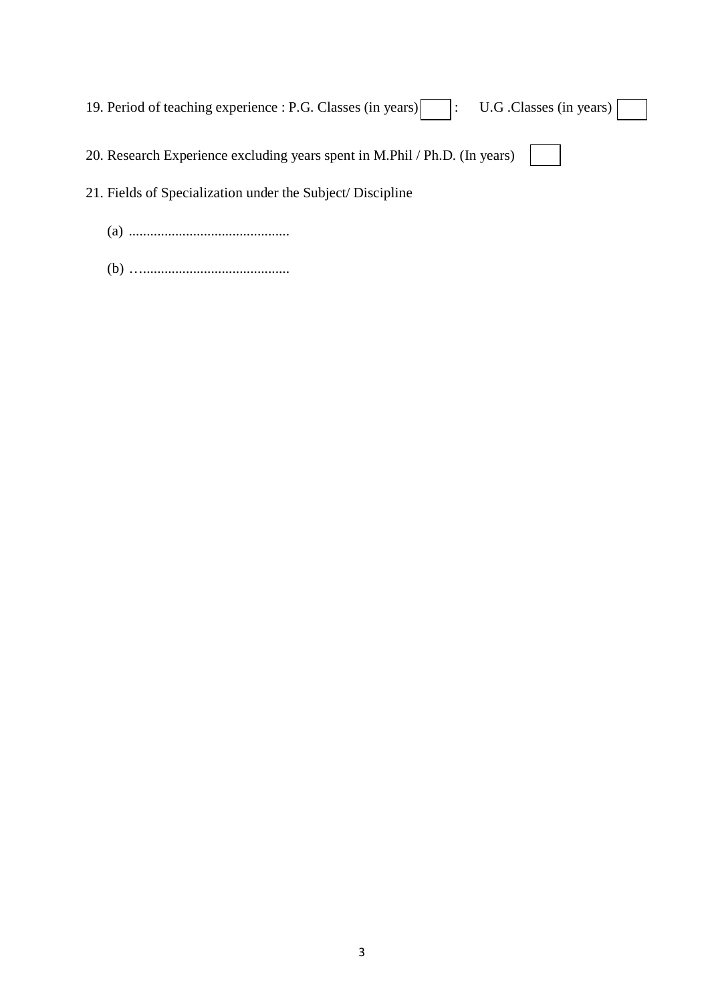| 19. Period of teaching experience : P.G. Classes (in years)    : U.G. Classes (in years) |
|------------------------------------------------------------------------------------------|
| 20. Research Experience excluding years spent in M.Phil / Ph.D. (In years)               |
| 21. Fields of Specialization under the Subject/Discipline                                |
|                                                                                          |

- (a) .............................................
- (b) ….........................................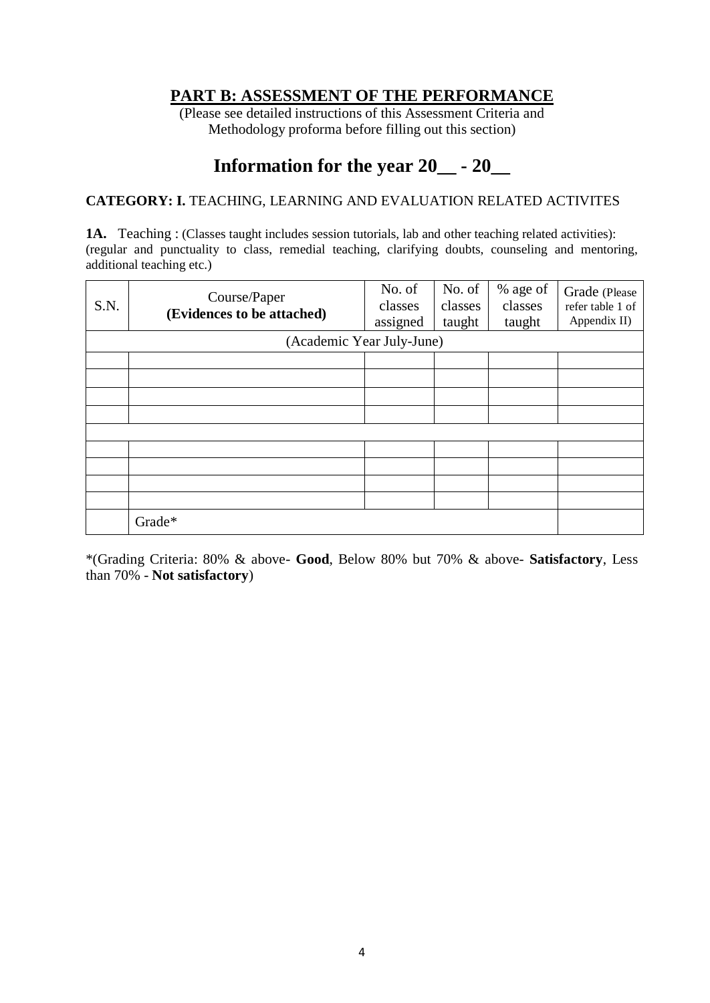# **PART B: ASSESSMENT OF THE PERFORMANCE**

(Please see detailed instructions of this Assessment Criteria and Methodology proforma before filling out this section)

# **Information for the year 20\_\_ - 20\_\_**

#### **CATEGORY: I.** TEACHING, LEARNING AND EVALUATION RELATED ACTIVITES

**1A.** Teaching : (Classes taught includes session tutorials, lab and other teaching related activities): (regular and punctuality to class, remedial teaching, clarifying doubts, counseling and mentoring, additional teaching etc.)

| S.N. | Course/Paper<br>(Evidences to be attached) | No. of<br>classes<br>assigned | No. of<br>classes<br>taught | % age of<br>classes<br>taught | Grade (Please<br>refer table 1 of<br>Appendix II) |  |  |
|------|--------------------------------------------|-------------------------------|-----------------------------|-------------------------------|---------------------------------------------------|--|--|
|      | (Academic Year July-June)                  |                               |                             |                               |                                                   |  |  |
|      |                                            |                               |                             |                               |                                                   |  |  |
|      |                                            |                               |                             |                               |                                                   |  |  |
|      |                                            |                               |                             |                               |                                                   |  |  |
|      |                                            |                               |                             |                               |                                                   |  |  |
|      |                                            |                               |                             |                               |                                                   |  |  |
|      |                                            |                               |                             |                               |                                                   |  |  |
|      |                                            |                               |                             |                               |                                                   |  |  |
|      |                                            |                               |                             |                               |                                                   |  |  |
|      |                                            |                               |                             |                               |                                                   |  |  |
|      | Grade*                                     |                               |                             |                               |                                                   |  |  |

\*(Grading Criteria: 80% & above- **Good**, Below 80% but 70% & above- **Satisfactory**, Less than 70% - **Not satisfactory**)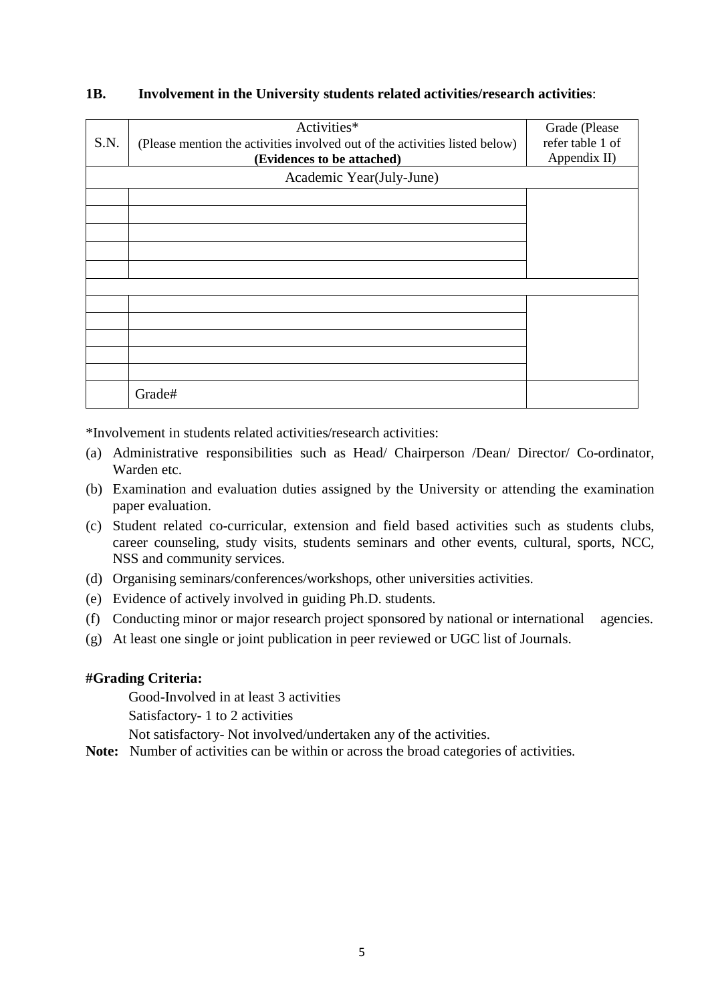| S.N. | Activities*<br>(Please mention the activities involved out of the activities listed below) | Grade (Please<br>refer table 1 of |
|------|--------------------------------------------------------------------------------------------|-----------------------------------|
|      | (Evidences to be attached)                                                                 | Appendix II)                      |
|      | Academic Year(July-June)                                                                   |                                   |
|      |                                                                                            |                                   |
|      |                                                                                            |                                   |
|      |                                                                                            |                                   |
|      |                                                                                            |                                   |
|      |                                                                                            |                                   |
|      |                                                                                            |                                   |
|      |                                                                                            |                                   |
|      |                                                                                            |                                   |
|      |                                                                                            |                                   |
|      | Grade#                                                                                     |                                   |

#### **1B. Involvement in the University students related activities/research activities**:

\*Involvement in students related activities/research activities:

- (a) Administrative responsibilities such as Head/ Chairperson /Dean/ Director/ Co-ordinator, Warden etc.
- (b) Examination and evaluation duties assigned by the University or attending the examination paper evaluation.
- (c) Student related co-curricular, extension and field based activities such as students clubs, career counseling, study visits, students seminars and other events, cultural, sports, NCC, NSS and community services.
- (d) Organising seminars/conferences/workshops, other universities activities.
- (e) Evidence of actively involved in guiding Ph.D. students.
- (f) Conducting minor or major research project sponsored by national or international agencies.
- (g) At least one single or joint publication in peer reviewed or UGC list of Journals.

#### **#Grading Criteria:**

Good-Involved in at least 3 activities

Satisfactory- 1 to 2 activities

Not satisfactory- Not involved/undertaken any of the activities.

**Note:** Number of activities can be within or across the broad categories of activities.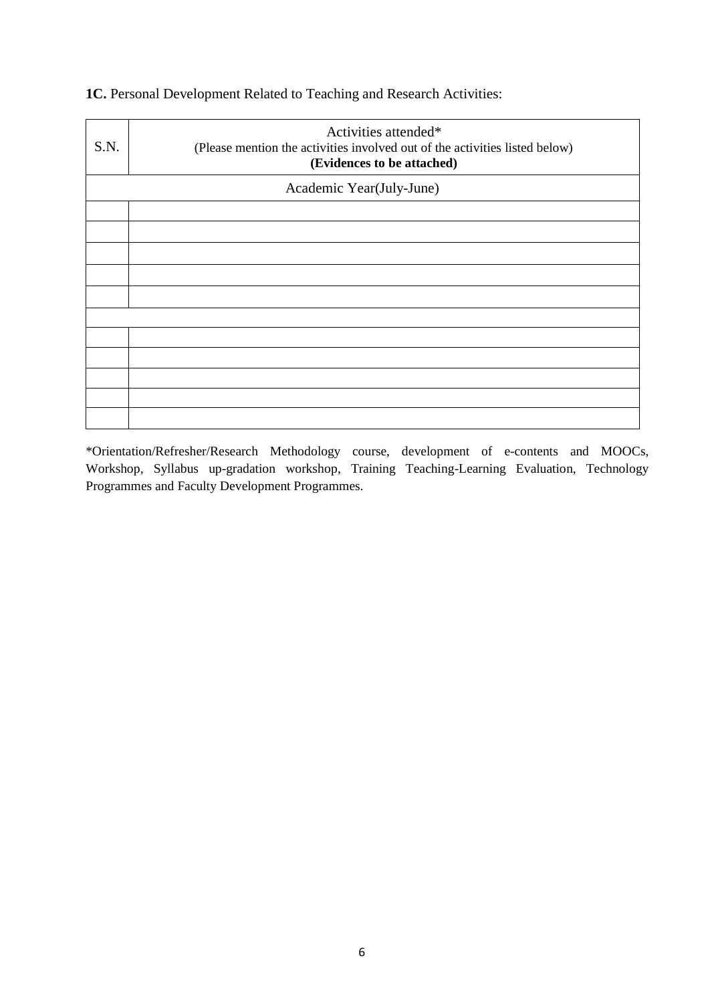| S.N. | Activities attended*<br>(Please mention the activities involved out of the activities listed below)<br>(Evidences to be attached) |  |  |  |  |  |
|------|-----------------------------------------------------------------------------------------------------------------------------------|--|--|--|--|--|
|      | Academic Year(July-June)                                                                                                          |  |  |  |  |  |
|      |                                                                                                                                   |  |  |  |  |  |
|      |                                                                                                                                   |  |  |  |  |  |
|      |                                                                                                                                   |  |  |  |  |  |
|      |                                                                                                                                   |  |  |  |  |  |
|      |                                                                                                                                   |  |  |  |  |  |
|      |                                                                                                                                   |  |  |  |  |  |
|      |                                                                                                                                   |  |  |  |  |  |
|      |                                                                                                                                   |  |  |  |  |  |
|      |                                                                                                                                   |  |  |  |  |  |
|      |                                                                                                                                   |  |  |  |  |  |
|      |                                                                                                                                   |  |  |  |  |  |

# **1C.** Personal Development Related to Teaching and Research Activities:

\*Orientation/Refresher/Research Methodology course, development of e-contents and MOOCs, Workshop, Syllabus up-gradation workshop, Training Teaching-Learning Evaluation, Technology Programmes and Faculty Development Programmes.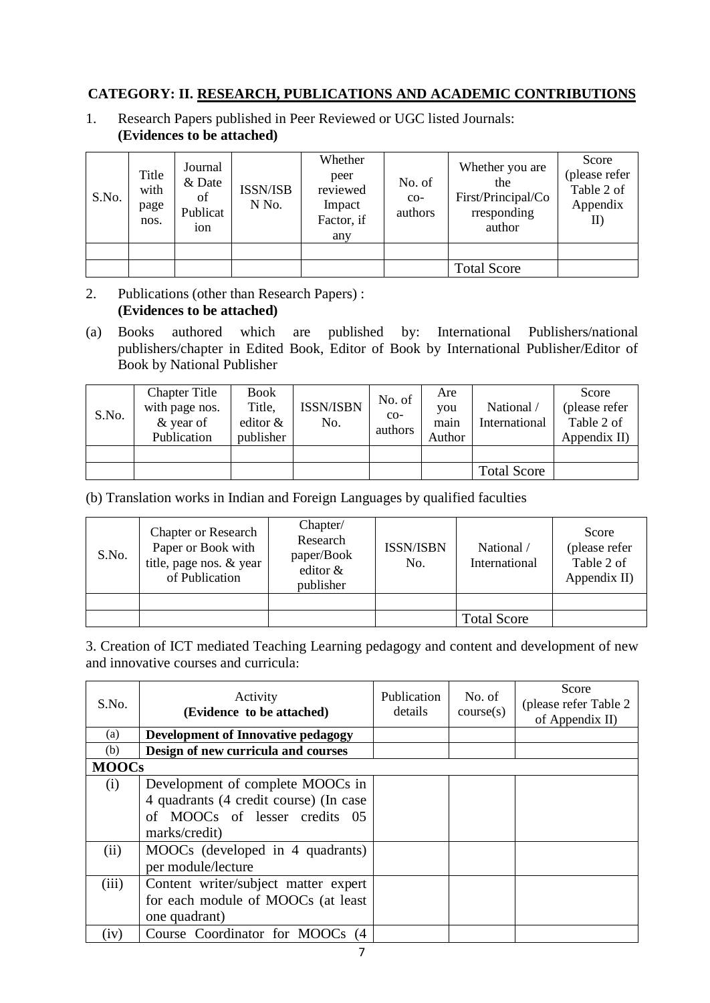#### **CATEGORY: II. RESEARCH, PUBLICATIONS AND ACADEMIC CONTRIBUTIONS**

1. Research Papers published in Peer Reviewed or UGC listed Journals: **(Evidences to be attached)**

| S.No. | Title<br>with<br>page<br>nos. | Journal<br>& Date<br>of<br>Publicat<br>10 <sub>n</sub> | <b>ISSN/ISB</b><br>N No. | Whether<br>peer<br>reviewed<br>Impact<br>Factor, if<br>any | No. of<br>$CO-$<br>authors | Whether you are<br>the<br>First/Principal/Co<br>rresponding<br>author | Score<br>(please refer<br>Table 2 of<br>Appendix<br>II) |
|-------|-------------------------------|--------------------------------------------------------|--------------------------|------------------------------------------------------------|----------------------------|-----------------------------------------------------------------------|---------------------------------------------------------|
|       |                               |                                                        |                          |                                                            |                            |                                                                       |                                                         |
|       |                               |                                                        |                          |                                                            |                            | <b>Total Score</b>                                                    |                                                         |

- 2. Publications (other than Research Papers) : **(Evidences to be attached)**
- (a) Books authored which are published by: International Publishers/national publishers/chapter in Edited Book, Editor of Book by International Publisher/Editor of Book by National Publisher

| S.No. | <b>Chapter Title</b><br>with page nos.<br>& year of<br>Publication | <b>Book</b><br>Title,<br>editor $\&$<br>publisher | <b>ISSN/ISBN</b><br>No. | No. of<br>$CO-$<br>authors | Are<br>vou<br>main<br>Author | National /<br>International | Score<br>(please refer<br>Table 2 of<br>Appendix II) |
|-------|--------------------------------------------------------------------|---------------------------------------------------|-------------------------|----------------------------|------------------------------|-----------------------------|------------------------------------------------------|
|       |                                                                    |                                                   |                         |                            |                              |                             |                                                      |
|       |                                                                    |                                                   |                         |                            |                              | <b>Total Score</b>          |                                                      |

(b) Translation works in Indian and Foreign Languages by qualified faculties

| S.No. | <b>Chapter or Research</b><br>Paper or Book with<br>title, page nos. & year<br>of Publication | Chapter/<br>Research<br>paper/Book<br>editor &<br>publisher | <b>ISSN/ISBN</b><br>No. | National /<br>International | Score<br>(please refer<br>Table 2 of<br>Appendix II) |
|-------|-----------------------------------------------------------------------------------------------|-------------------------------------------------------------|-------------------------|-----------------------------|------------------------------------------------------|
|       |                                                                                               |                                                             |                         |                             |                                                      |
|       |                                                                                               |                                                             |                         | <b>Total Score</b>          |                                                      |

3. Creation of ICT mediated Teaching Learning pedagogy and content and development of new and innovative courses and curricula:

| S.No.        | Activity<br>(Evidence to be attached)     | Publication<br>details | No. of<br>course(s) | Score<br>(please refer Table 2)<br>of Appendix II) |
|--------------|-------------------------------------------|------------------------|---------------------|----------------------------------------------------|
| (a)          | <b>Development of Innovative pedagogy</b> |                        |                     |                                                    |
| (b)          | Design of new curricula and courses       |                        |                     |                                                    |
| <b>MOOCs</b> |                                           |                        |                     |                                                    |
| (i)          | Development of complete MOOCs in          |                        |                     |                                                    |
|              | 4 quadrants (4 credit course) (In case    |                        |                     |                                                    |
|              | of MOOCs of lesser credits 05             |                        |                     |                                                    |
|              | marks/credit)                             |                        |                     |                                                    |
| (ii)         | MOOCs (developed in 4 quadrants)          |                        |                     |                                                    |
|              | per module/lecture                        |                        |                     |                                                    |
| (iii)        | Content writer/subject matter expert      |                        |                     |                                                    |
|              | for each module of MOOCs (at least        |                        |                     |                                                    |
|              | one quadrant)                             |                        |                     |                                                    |
| (iv)         | Course Coordinator for MOOCs<br>(4)       |                        |                     |                                                    |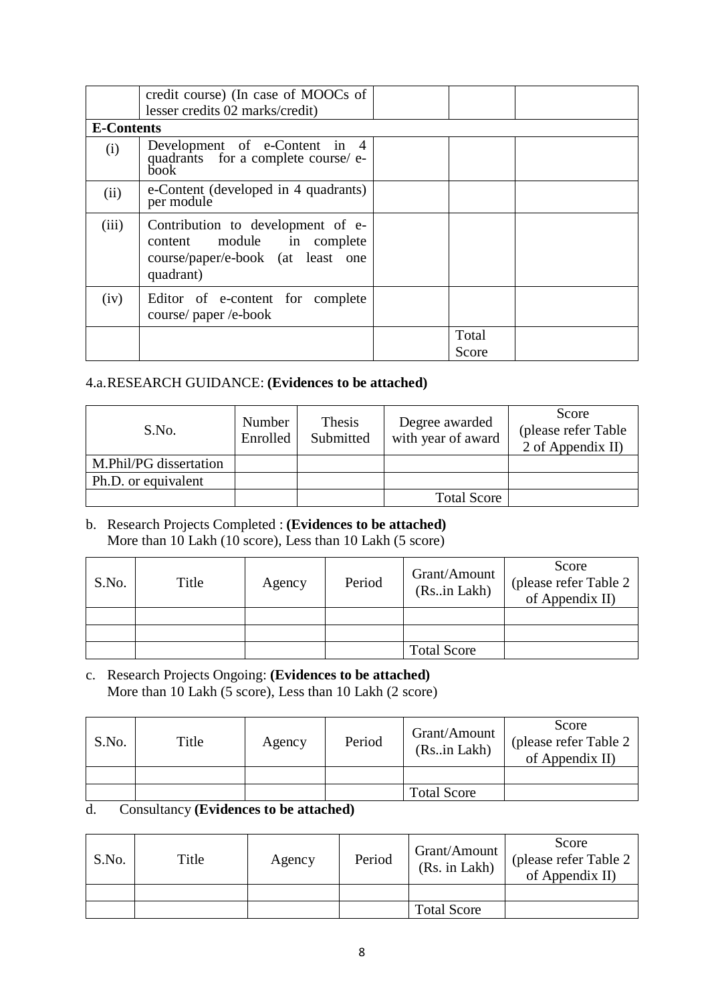| <b>E-Contents</b> | credit course) (In case of MOOCs of<br>lesser credits 02 marks/credit)                                            |                |  |
|-------------------|-------------------------------------------------------------------------------------------------------------------|----------------|--|
|                   |                                                                                                                   |                |  |
| (i)               | Development of e-Content in 4<br>quadrants for a complete course/e-<br>book-                                      |                |  |
| (ii)              | e-Content (developed in 4 quadrants)<br>per module                                                                |                |  |
| (iii)             | Contribution to development of e-<br>content module in complete<br>course/paper/e-book (at least one<br>quadrant) |                |  |
| (iv)              | Editor of e-content for complete<br>course/paper/e-book                                                           |                |  |
|                   |                                                                                                                   | Total<br>Score |  |

#### 4.a.RESEARCH GUIDANCE: **(Evidences to be attached)**

| S.No.                  | Number<br>Enrolled | Thesis<br>Submitted | Degree awarded<br>with year of award | Score<br>(please refer Table)<br>2 of Appendix II) |
|------------------------|--------------------|---------------------|--------------------------------------|----------------------------------------------------|
| M.Phil/PG dissertation |                    |                     |                                      |                                                    |
| Ph.D. or equivalent    |                    |                     |                                      |                                                    |
|                        |                    |                     | <b>Total Score</b>                   |                                                    |

#### b. Research Projects Completed : **(Evidences to be attached)** More than 10 Lakh (10 score), Less than 10 Lakh (5 score)

| S.No. | Title | Agency | Period | Grant/Amount<br>(Rsin Lakh) | Score<br>please refer Table 2<br>of Appendix II) |
|-------|-------|--------|--------|-----------------------------|--------------------------------------------------|
|       |       |        |        |                             |                                                  |
|       |       |        |        |                             |                                                  |
|       |       |        |        | <b>Total Score</b>          |                                                  |

c. Research Projects Ongoing: **(Evidences to be attached)** More than 10 Lakh (5 score), Less than 10 Lakh (2 score)

| S.No. | Title | Agency | Period | Grant/Amount<br>(Rsin Lakh) | Score<br>(please refer Table 2)<br>of Appendix II) |
|-------|-------|--------|--------|-----------------------------|----------------------------------------------------|
|       |       |        |        |                             |                                                    |
|       |       |        |        | <b>Total Score</b>          |                                                    |

#### d. Consultancy **(Evidences to be attached)**

| S.No. | Title | Agency | Period | Grant/Amount<br>(Rs. in Lakh) | Score<br>(please refer Table 2)<br>of Appendix II) |
|-------|-------|--------|--------|-------------------------------|----------------------------------------------------|
|       |       |        |        |                               |                                                    |
|       |       |        |        | <b>Total Score</b>            |                                                    |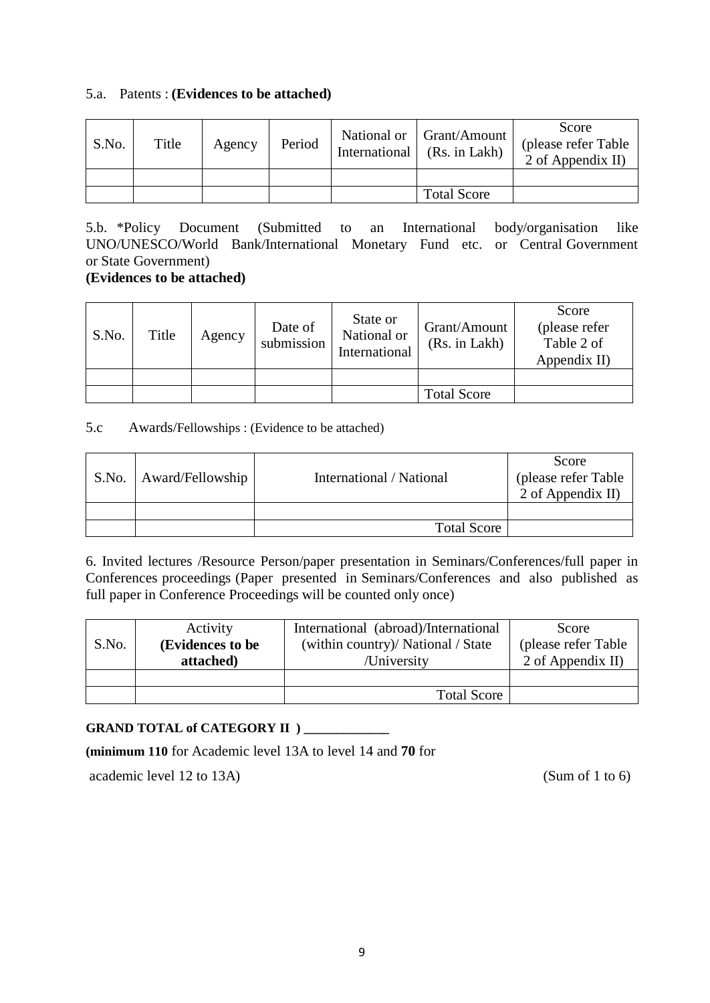#### 5.a. Patents : **(Evidences to be attached)**

| S.No. | Title | Agency | Period | International | National or Grant/Amount<br>(Rs. in Lakh) | Score<br>(please refer Table<br>2 of Appendix II) |
|-------|-------|--------|--------|---------------|-------------------------------------------|---------------------------------------------------|
|       |       |        |        |               |                                           |                                                   |
|       |       |        |        |               | <b>Total Score</b>                        |                                                   |

5.b. \*Policy Document (Submitted to an International body/organisation like UNO/UNESCO/World Bank/International Monetary Fund etc. or Central Government or State Government)

#### **(Evidences to be attached)**

| S.No. | Title | Agency | Date of<br>submission | State or<br>National or<br>International | Grant/Amount<br>(Rs. in Lakh) | Score<br>(please refer<br>Table 2 of<br>Appendix II) |
|-------|-------|--------|-----------------------|------------------------------------------|-------------------------------|------------------------------------------------------|
|       |       |        |                       |                                          |                               |                                                      |
|       |       |        |                       |                                          | <b>Total Score</b>            |                                                      |

#### 5.c Awards/Fellowships : (Evidence to be attached)

| S.No.   Award/Fellowship | International / National | Score<br>(please refer Table<br>2 of Appendix II) |
|--------------------------|--------------------------|---------------------------------------------------|
|                          |                          |                                                   |
|                          | <b>Total Score</b>       |                                                   |

6. Invited lectures /Resource Person/paper presentation in Seminars/Conferences/full paper in Conferences proceedings (Paper presented in Seminars/Conferences and also published as full paper in Conference Proceedings will be counted only once)

| S.No. | Activity<br>(Evidences to be | International (abroad)/International<br>(within country)/ National / State | Score<br>(please refer Table) |
|-------|------------------------------|----------------------------------------------------------------------------|-------------------------------|
|       | attached)                    | /University                                                                | 2 of Appendix II)             |
|       |                              |                                                                            |                               |
|       |                              | <b>Total Score</b>                                                         |                               |

#### GRAND TOTAL of CATEGORY II ) \_\_\_\_\_\_\_\_\_\_\_\_\_

#### **(minimum 110** for Academic level 13A to level 14 and **70** for

academic level 12 to 13A) (Sum of 1 to 6)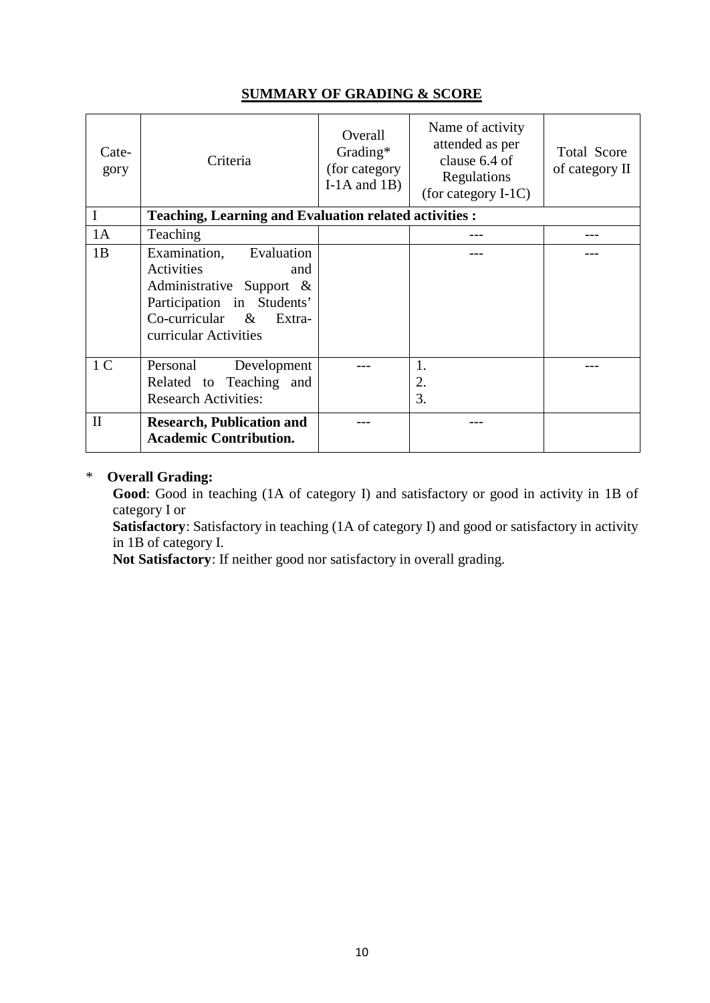| <b>SUMMARY OF GRADING &amp; SCORE</b> |  |  |
|---------------------------------------|--|--|
|                                       |  |  |

| Cate-<br>gory  | Criteria                                                                                                                                                           | Overall<br>Grading*<br>(for category)<br>I-1A and $1B$ ) | Name of activity<br>attended as per<br>clause 6.4 of<br>Regulations<br>(for category $I-1C$ ) | <b>Total Score</b><br>of category II |
|----------------|--------------------------------------------------------------------------------------------------------------------------------------------------------------------|----------------------------------------------------------|-----------------------------------------------------------------------------------------------|--------------------------------------|
|                | <b>Teaching, Learning and Evaluation related activities :</b>                                                                                                      |                                                          |                                                                                               |                                      |
| 1A             | Teaching                                                                                                                                                           |                                                          |                                                                                               |                                      |
| 1B             | Evaluation<br>Examination,<br>Activities<br>and<br>Administrative Support &<br>Participation in Students'<br>$Co$ -curricular &<br>Extra-<br>curricular Activities |                                                          |                                                                                               |                                      |
| 1 <sup>C</sup> | Personal<br>Development<br>Related to Teaching and<br><b>Research Activities:</b>                                                                                  |                                                          | 1.<br>2.<br>3.                                                                                |                                      |
| $\mathbf{I}$   | <b>Research, Publication and</b><br><b>Academic Contribution.</b>                                                                                                  |                                                          |                                                                                               |                                      |

#### \* **Overall Grading:**

**Good**: Good in teaching (1A of category I) and satisfactory or good in activity in 1B of category I or

**Satisfactory**: Satisfactory in teaching (1A of category I) and good or satisfactory in activity in 1B of category I.

**Not Satisfactory**: If neither good nor satisfactory in overall grading.